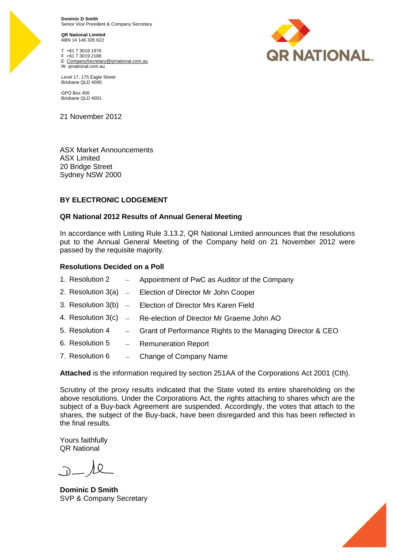**Dominic D Smith** Senior Vice President & Company Secretary

**QR National Limited** ABN 14 146 335 622

T +61 7 3019 1976 F +61 7 3019 2188 E CompanySecretary@qrnational.com.au W qrnational.com.au



GPO Box 456 Brisbane QLD 4001

21 November 2012

ASX Market Announcements ASX Limited 20 Bridge Street Sydney NSW 2000

### **BY ELECTRONIC LODGEMENT**

#### **QR National 2012 Results of Annual General Meeting**

In accordance with Listing Rule 3.13.2, QR National Limited announces that the resolutions put to the Annual General Meeting of the Company held on 21 November 2012 were passed by the requisite majority.

#### **Resolutions Decided on a Poll**

- 1. Resolution  $2 A$ ppointment of PwC as Auditor of the Company
- 2. Resolution  $3(a)$  Election of Director Mr John Cooper
- 3. Resolution  $3(b)$  Election of Director Mrs Karen Field
- 4. Resolution 3(c) Re-election of Director Mr Graeme John AO
- 5. Resolution 4 Grant of Performance Rights to the Managing Director & CEO
- 6. Resolution 5 Remuneration Report
- 7. Resolution  $6 -$  Change of Company Name

**Attached** is the information required by section 251AA of the Corporations Act 2001 (Cth).

Scrutiny of the proxy results indicated that the State voted its entire shareholding on the above resolutions. Under the Corporations Act, the rights attaching to shares which are the subject of a Buy-back Agreement are suspended. Accordingly, the votes that attach to the shares, the subject of the Buy-back, have been disregarded and this has been reflected in the final results.

Yours faithfully QR National

۸O

**Dominic D Smith** SVP & Company Secretary